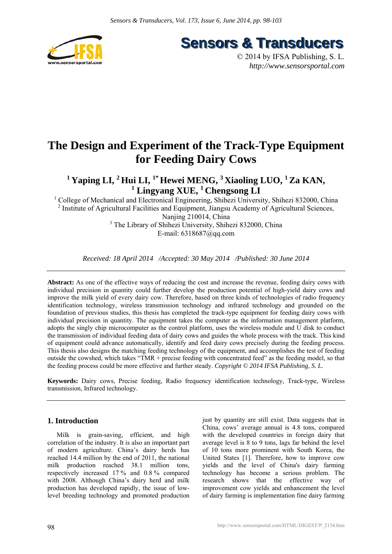

**Sensors & Transducers** 

© 2014 by IFSA Publishing, S. L. *http://www.sensorsportal.com*

# **The Design and Experiment of the Track-Type Equipment for Feeding Dairy Cows**

<sup>1</sup> Yaping LI, <sup>2</sup> Hui LI, <sup>1\*</sup> Hewei MENG, <sup>3</sup> Xiaoling LUO, <sup>1</sup> Za KAN, <sup>1</sup> Lingyang XUE, <sup>1</sup> Chengsong LI

<sup>1</sup> College of Mechanical and Electronical Engineering, Shihezi University, Shihezi 832000, China <sup>2</sup> Institute of Agricultural Facilities and Equipment, Jiangsu Academy of Agricultural Sciences, Nanjing 210014, China <sup>3</sup> The Library of Shihezi University, Shihezi 832000, China E-mail: 6318687@qq.com

*Received: 18 April 2014 /Accepted: 30 May 2014 /Published: 30 June 2014* 

**Abstract:** As one of the effective ways of reducing the cost and increase the revenue, feeding dairy cows with individual precision in quantity could further develop the production potential of high-yield dairy cows and improve the milk yield of every dairy cow. Therefore, based on three kinds of technologies of radio frequency identification technology, wireless transmission technology and infrared technology and grounded on the foundation of previous studies, this thesis has completed the track-type equipment for feeding dairy cows with individual precision in quantity. The equipment takes the computer as the information management platform, adopts the singly chip microcomputer as the control platform, uses the wireless module and U disk to conduct the transmission of individual feeding data of dairy cows and guides the whole process with the track. This kind of equipment could advance automatically, identify and feed dairy cows precisely during the feeding process. This thesis also designs the matching feeding technology of the equipment, and accomplishes the test of feeding outside the cowshed, which takes "TMR + precise feeding with concentrated feed" as the feeding model, so that the feeding process could be more effective and further steady. *Copyright © 2014 IFSA Publishing, S. L.*

**Keywords:** Dairy cows, Precise feeding, Radio frequency identification technology, Track-type, Wireless transmission, Infrared technology.

# **1. Introduction**

Milk is grain-saving, efficient, and high correlation of the industry. It is also an important part of modern agriculture. China's dairy herds has reached 14.4 million by the end of 2011, the national milk production reached 38.1 million tons, respectively increased 17 % and 0.8 % compared with 2008. Although China's dairy herd and milk production has developed rapidly, the issue of lowlevel breeding technology and promoted production just by quantity are still exist. Data suggests that in China, cows' average annual is 4.8 tons, compared with the developed countries in foreign dairy that average level is 8 to 9 tons, lags far behind the level of 10 tons more prominent with South Korea, the United States [1]. Therefore, how to improve cow yields and the level of China's dairy farming technology has become a serious problem. The research shows that the effective way of improvement cow yields and enhancement the level of dairy farming is implementation fine dairy farming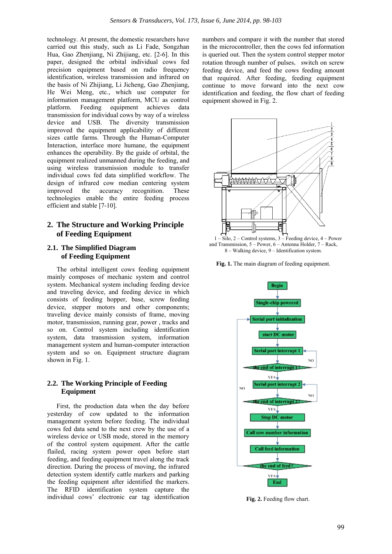technology. At present, the domestic researchers have carried out this study, such as Li Fade, Songzhan Hua, Gao Zhenjiang, Ni Zhijiang, etc. [2-6]. In this paper, designed the orbital individual cows fed precision equipment based on radio frequency identification, wireless transmission and infrared on the basis of Ni Zhijiang, Li Jicheng, Gao Zhenjiang, He Wei Meng, etc., which use computer for information management platform, MCU as control platform. Feeding equipment achieves data transmission for individual cows by way of a wireless device and USB. The diversity transmission improved the equipment applicability of different sizes cattle farms. Through the Human-Computer Interaction, interface more humane, the equipment enhances the operability. By the guide of orbital, the equipment realized unmanned during the feeding, and using wireless transmission module to transfer individual cows fed data simplified workflow. The design of infrared cow median centering system improved the accuracy recognition. These technologies enable the entire feeding process efficient and stable [7-10].

# **2. The Structure and Working Principle of Feeding Equipment**

# **2.1. The Simplified Diagram of Feeding Equipment**

The orbital intelligent cows feeding equipment mainly composes of mechanic system and control system. Mechanical system including feeding device and traveling device, and feeding device in which consists of feeding hopper, base, screw feeding device, stepper motors and other components; traveling device mainly consists of frame, moving motor, transmission, running gear, power , tracks and so on. Control system including identification system, data transmission system, information management system and human-computer interaction system and so on. Equipment structure diagram shown in Fig. 1.

# **2.2. The Working Principle of Feeding Equipment**

First, the production data when the day before yesterday of cow updated to the information management system before feeding. The individual cows fed data send to the next crew by the use of a wireless device or USB mode, stored in the memory of the control system equipment. After the cattle flailed, racing system power open before start feeding, and feeding equipment travel along the track direction. During the process of moving, the infrared detection system identify cattle markers and parking the feeding equipment after identified the markers. The RFID identification system capture the individual cows' electronic ear tag identification numbers and compare it with the number that stored in the microcontroller, then the cows fed information is queried out. Then the system control stepper motor rotation through number of pulses, switch on screw feeding device, and feed the cows feeding amount that required. After feeding, feeding equipment continue to move forward into the next cow identification and feeding, the flow chart of feeding equipment showed in Fig. 2.







**Fig. 2.** Feeding flow chart.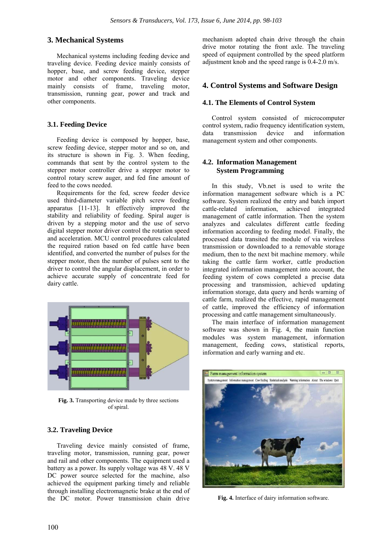# **3. Mechanical Systems**

Mechanical systems including feeding device and traveling device. Feeding device mainly consists of hopper, base, and screw feeding device, stepper motor and other components. Traveling device mainly consists of frame, traveling motor, transmission, running gear, power and track and other components.

# **3.1. Feeding Device**

Feeding device is composed by hopper, base, screw feeding device, stepper motor and so on, and its structure is shown in Fig. 3. When feeding, commands that sent by the control system to the stepper motor controller drive a stepper motor to control rotary screw auger, and fed fine amount of feed to the cows needed.

Requirements for the fed, screw feeder device used third-diameter variable pitch screw feeding apparatus [11-13]. It effectively improved the stability and reliability of feeding. Spiral auger is driven by a stepping motor and the use of servo digital stepper motor driver control the rotation speed and acceleration. MCU control procedures calculated the required ration based on fed cattle have been identified, and converted the number of pulses for the stepper motor, then the number of pulses sent to the driver to control the angular displacement, in order to achieve accurate supply of concentrate feed for dairy cattle.



**Fig. 3.** Transporting device made by three sections of spiral.

# **3.2. Traveling Device**

Traveling device mainly consisted of frame, traveling motor, transmission, running gear, power and rail and other components. The equipment used a battery as a power. Its supply voltage was 48 V. 48 V DC power source selected for the machine, also achieved the equipment parking timely and reliable through installing electromagnetic brake at the end of the DC motor. Power transmission chain drive mechanism adopted chain drive through the chain drive motor rotating the front axle. The traveling speed of equipment controlled by the speed platform adjustment knob and the speed range is 0.4-2.0 m/s.

# **4. Control Systems and Software Design**

## **4.1. The Elements of Control System**

Control system consisted of microcomputer control system, radio frequency identification system, data transmission device and information management system and other components.

# **4.2. Information Management System Programming**

In this study, Vb.net is used to write the information management software which is a PC software. System realized the entry and batch import cattle-related information, achieved integrated management of cattle information. Then the system analyzes and calculates different cattle feeding information according to feeding model. Finally, the processed data transited the module of via wireless transmission or downloaded to a removable storage medium, then to the next bit machine memory. while taking the cattle farm worker, cattle production integrated information management into account, the feeding system of cows completed a precise data processing and transmission, achieved updating information storage, data query and herds warning of cattle farm, realized the effective, rapid management of cattle, improved the efficiency of information processing and cattle management simultaneously.

The main interface of information management software was shown in Fig. 4, the main function modules was system management, information management, feeding cows, statistical reports, information and early warning and etc.



**Fig. 4.** Interface of dairy information software.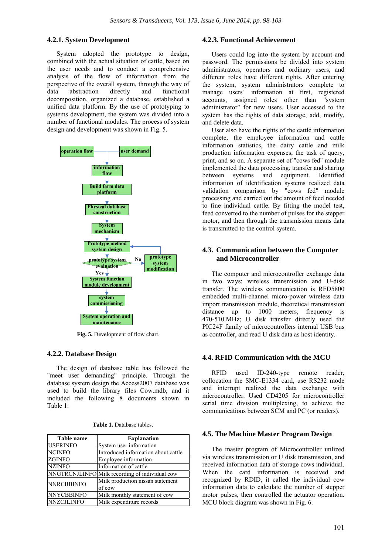## **4.2.1. System Development**

System adopted the prototype to design, combined with the actual situation of cattle, based on the user needs and to conduct a comprehensive analysis of the flow of information from the perspective of the overall system, through the way of data abstraction directly and functional decomposition, organized a database, established a unified data platform. By the use of prototyping to systems development, the system was divided into a number of functional modules. The process of system design and development was shown in Fig. 5.



**Fig. 5.** Development of flow chart.

#### **4.2.2. Database Design**

The design of database table has followed the "meet user demanding" principle. Through the database system design the Access2007 database was used to build the library files Cow.mdb, and it included the following 8 documents shown in Table 1:

| <b>Table 1.</b> Database tables. |  |
|----------------------------------|--|
|----------------------------------|--|

| <b>Table name</b> | <b>Explanation</b>                             |  |  |  |
|-------------------|------------------------------------------------|--|--|--|
| <b>USERINFO</b>   | System user information                        |  |  |  |
| <b>NCINFO</b>     | Introduced information about cattle            |  |  |  |
| <b>ZGINFO</b>     | Employee information                           |  |  |  |
| <b>NZINFO</b>     | Information of cattle                          |  |  |  |
|                   | NNGTRCNJLINFO Milk recording of individual cow |  |  |  |
| <b>NNRCBBINFO</b> | Milk production nissan statement               |  |  |  |
|                   | of cow                                         |  |  |  |
| <b>NNYCBBINFO</b> | Milk monthly statement of cow                  |  |  |  |
| <b>NNZCJLINFO</b> | Milk expenditure records                       |  |  |  |

# **4.2.3. Functional Achievement**

Users could log into the system by account and password. The permissions be divided into system administrators, operators and ordinary users, and different roles have different rights. After entering the system, system administrators complete to manage users' information at first, registered accounts, assigned roles other than "system administrator" for new users. User accessed to the system has the rights of data storage, add, modify, and delete data.

User also have the rights of the cattle information complete, the employee information and cattle information statistics, the dairy cattle and milk production information expenses, the task of query, print, and so on. A separate set of "cows fed" module implemented the data processing, transfer and sharing between systems and equipment. Identified information of identification systems realized data validation comparison by "cows fed" module processing and carried out the amount of feed needed to fine individual cattle. By fitting the model test, feed converted to the number of pulses for the stepper motor, and then through the transmission means data is transmitted to the control system.

# **4.3. Communication between the Computer and Microcontroller**

The computer and microcontroller exchange data in two ways: wireless transmission and U-disk transfer. The wireless communication is RFD5800 embedded multi-channel micro-power wireless data import transmission module, theoretical transmission distance up to 1000 meters, frequency is 470-510 MHz; U disk transfer directly used the PIC24F family of microcontrollers internal USB bus as controller, and read U disk data as host identity.

## **4.4. RFID Communication with the MCU**

RFID used ID-240-type remote reader, collocation the SMC-E1334 card, use RS232 mode and interrupt realized the data exchange with microcontroller. Used CD4205 for microcontroller serial time division multiplexing, to achieve the communications between SCM and PC (or readers).

#### **4.5. The Machine Master Program Design**

The master program of Microcontroller utilized via wireless transmission or U disk transmission, and received information data of storage cows individual. When the card information is received and recognized by RDID, it called the individual cow information data to calculate the number of stepper motor pulses, then controlled the actuator operation. MCU block diagram was shown in Fig. 6.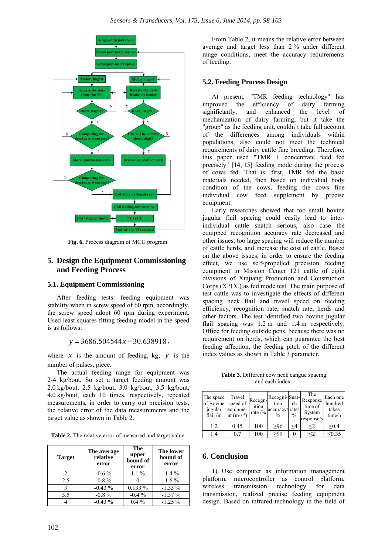

**Fig. 6.** Process diagram of MCU program.

# **5. Design the Equipment Commissioning and Feeding Process**

# **5.1. Equipment Commissioning**

After feeding tests: feeding equipment was stability when in screw speed of 60 rpm, accordingly, the screw speed adopt 60 rpm during experiment. Used least squares fitting feeding model in the speed is as follows:

 $y = 3686.504544x - 30.638918$ ,

where  $x$  is the amount of feeding, kg;  $y$  is the number of pulses, piece.

The actual feeding range for equipment was 2-4 kg/bout, So set a target feeding amount was 2.0 kg/bout, 2.5 kg/bout, 3.0 kg/bout, 3.5 kg/bout, 4.0 kg/bout, each 10 times, respectively, repeated measurements, in order to carry out precision tests, the relative error of the data measurements and the target value as shown in Table 2.

**Table 2.** The relative error of measured and target value.

| <b>Target</b> | The average<br>relative<br>error | The<br>upper<br>bound of<br>error | <b>The lower</b><br>bound of<br>error |  |
|---------------|----------------------------------|-----------------------------------|---------------------------------------|--|
|               | $-0.6\%$                         | $1.1\%$                           | $-1.4\%$                              |  |
| 2.5           | $-0.8\%$                         |                                   | $-1.6\%$                              |  |
|               | $-0.43\%$                        | $0.133\%$                         | $-1.33\%$                             |  |
| 3.5           | $-0.8 \%$                        | $-0.4\%$                          | $-1.37\%$                             |  |
|               | $-0.43\%$                        | $0.4\%$                           | $-1.25%$                              |  |

From Table 2, it means the relative error between average and target less than 2 % under different range conditions, meet the accuracy requirements of feeding.

## **5.2. Feeding Process Design**

At present, "TMR feeding technology" has improved the efficiency of dairy farming significantly, and enhanced the level of mechanization of dairy farming, but it take the "group" as the feeding unit, couldn't take full account of the differences among individuals within populations, also could not meet the technical requirements of dairy cattle fine breeding. Therefore, this paper used "TMR + concentrate feed fed precisely" [14, 15] feeding mode during the process of cows fed. That is: first, TMR fed the basic materials needed, then based on individual body condition of the cows, feeding the cows fine individual cow feed supplement by precise equipment.

Early researches showed that too small bovine jugular flail spacing could easily lead to interindividual cattle snatch serious, also case the equipped recognition accuracy rate decreased and other issues; too large spacing will reduce the number of cattle herds, and increase the cost of cattle. Based on the above issues, in order to ensure the feeding effect, we use self-propelled precision feeding equipment in Mission Center 121 cattle of eight divisions of Xinjiang Production and Construction Corps (XPCC) as fed mode test. The main purpose of test cattle was to investigate the effects of different spacing neck flail and travel speed on feeding efficiency, recognition rate, snatch rate, herds and other factors. The test identified two bovine jugular flail spacing was 1.2 m and 1.4 m respectively. Office for feeding outside pens, because there was no requirement on herds, which can guarantee the best feeding affection, the feeding pitch of the different index values as shown in Table 3 parameter.

**Table 3.** Different cow neck cangue spacing and each index.

| The space<br>of Bovine<br>jugular<br>flail/m | Travel<br>speed of<br>equipme-<br>nt $(m \cdot s^{-1})$ | Recogn-<br>ition<br>rate $/$ % | Recogni-Snat-<br>tion<br>accuracy/rate/<br>$\frac{0}{0}$ | ch<br>$\frac{0}{0}$ | The<br>Response<br>time of<br>System<br>response/s | Each one<br>hundred<br>takes<br>time/h |
|----------------------------------------------|---------------------------------------------------------|--------------------------------|----------------------------------------------------------|---------------------|----------------------------------------------------|----------------------------------------|
| 1.2                                          | 0.45                                                    | 100                            | >96                                                      | <4                  | $<$ 2                                              | < 0.4                                  |
| 4 ا                                          | 0.7                                                     | 100                            | >99                                                      | $\Omega$            | <2                                                 | < 0.35                                 |

## **6. Conclusion**

1) Use computer as information management platform, microcontroller as control platform, wireless transmission technology for data transmission, realized precise feeding equipment design. Based on infrared technology in the field of